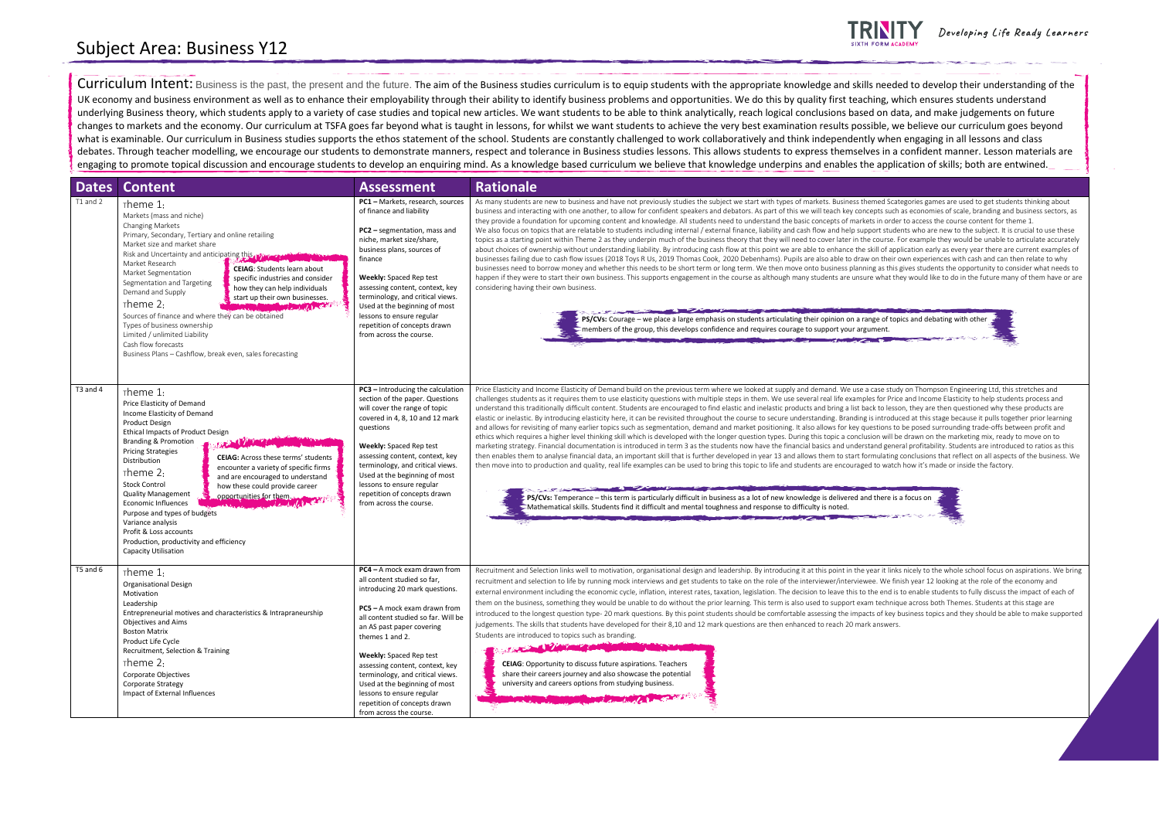| <b>Dates</b> | <b>Content</b>                                                                                                                                                                                                                                                                                                                                                                                                                                                                                                                                                                                                                                                                                                  | <b>Assessment</b>                                                                                                                                                                                                                                                                                                                                                                                                                                      | <b>Rationale</b>                                                                                                                                                                                                                                                                                                                                                                                                                                                                                                                                                                                                                                                                                                                                                                                                                                                                                                                                                                                                                                                                                                                                                                                                                                                                                                                                                                                                                                                                                                                                                                                                                                                                                                                                                                                                                                                                                                                                                                                                                                                                                                                              |
|--------------|-----------------------------------------------------------------------------------------------------------------------------------------------------------------------------------------------------------------------------------------------------------------------------------------------------------------------------------------------------------------------------------------------------------------------------------------------------------------------------------------------------------------------------------------------------------------------------------------------------------------------------------------------------------------------------------------------------------------|--------------------------------------------------------------------------------------------------------------------------------------------------------------------------------------------------------------------------------------------------------------------------------------------------------------------------------------------------------------------------------------------------------------------------------------------------------|-----------------------------------------------------------------------------------------------------------------------------------------------------------------------------------------------------------------------------------------------------------------------------------------------------------------------------------------------------------------------------------------------------------------------------------------------------------------------------------------------------------------------------------------------------------------------------------------------------------------------------------------------------------------------------------------------------------------------------------------------------------------------------------------------------------------------------------------------------------------------------------------------------------------------------------------------------------------------------------------------------------------------------------------------------------------------------------------------------------------------------------------------------------------------------------------------------------------------------------------------------------------------------------------------------------------------------------------------------------------------------------------------------------------------------------------------------------------------------------------------------------------------------------------------------------------------------------------------------------------------------------------------------------------------------------------------------------------------------------------------------------------------------------------------------------------------------------------------------------------------------------------------------------------------------------------------------------------------------------------------------------------------------------------------------------------------------------------------------------------------------------------------|
| T1 and 2     | $\tau$ heme 1:<br>Markets (mass and niche)<br>Changing Markets<br>Primary, Secondary, Tertiary and online retailing<br>Market size and market share<br>Risk and Uncertainty and anticipating this Winner Computer and<br>Market Research<br><b>CEIAG:</b> Students learn about<br>Market Segmentation<br>specific industries and consider<br>Segmentation and Targeting<br>how they can help individuals<br>Demand and Supply<br>start up their own businesses.<br>$\tau$ heme 2:<br><b>WATER STATE</b><br>Sources of finance and where they can be obtained<br>Types of business ownership<br>Limited / unlimited Liability<br>Cash flow forecasts<br>Business Plans - Cashflow, break even, sales forecasting | PC1 - Markets, research, sources<br>of finance and liability<br>PC2 - segmentation, mass and<br>niche, market size/share,<br>business plans, sources of<br>finance<br><b>Weekly:</b> Spaced Rep test<br>assessing content, context, key<br>terminology, and critical views.<br>Used at the beginning of most<br>lessons to ensure regular<br>repetition of concepts drawn<br>from across the course.                                                   | As many students are new to business and have not previously studies the subject we start with types of markets. Business themed Scategories games are used to get students thinking about<br>business and interacting with one another, to allow for confident speakers and debators. As part of this we will teach key concepts such as economies of scale, branding and business sectors, as<br>they provide a foundation for upcoming content and knowledge. All students need to understand the basic concepts of markets in order to access the course content for theme 1.<br>We also focus on topics that are relatable to students including internal / external finance, liability and cash flow and help support students who are new to the subject. It is crucial to use these<br>topics as a starting point within Theme 2 as they underpin much of the business theory that they will need to cover later in the course. For example they would be unable to articulate accurately<br>about choices of ownership without understanding liability. By introducing cash flow at this point we are able to enhance the skill of application early as every year there are current examples of<br>businesses failing due to cash flow issues (2018 Toys R Us, 2019 Thomas Cook, 2020 Debenhams). Pupils are also able to draw on their own experiences with cash and can then relate to why<br>businesses need to borrow money and whether this needs to be short term or long term. We then move onto business planning as this gives students the opportunity to consider what needs to<br>happen if they were to start their own business. This supports engagement in the course as although many students are unsure what they would like to do in the future many of them have or are<br>considering having their own business.<br>PS/CVs: Courage - we place a large emphasis on students articulating their opinion on a range of topics and debating with other<br>members of the group, this develops confidence and requires courage to support your argument.                                                          |
| T3 and 4     | $\tau$ heme 1:<br>Price Elasticity of Demand<br>Income Elasticity of Demand<br>Product Design<br><b>Ethical Impacts of Product Design</b><br><b>Branding &amp; Promotion</b><br><b>Pricing Strategies</b><br><b>CEIAG:</b> Across these terms' students<br>Distribution<br>encounter a variety of specific firms<br>$\tau$ heme 2:<br>and are encouraged to understand<br><b>Stock Control</b><br>how these could provide career<br><b>Quality Management</b><br>opportunities for them.<br><b>Economic Influences</b><br>Purpose and types of budgets<br>Variance analysis<br>Profit & Loss accounts<br>Production, productivity and efficiency<br>Capacity Utilisation                                        | PC3 - Introducing the calculation<br>section of the paper. Questions<br>will cover the range of topic<br>covered in 4, 8, 10 and 12 mark<br>questions<br><b>Weekly:</b> Spaced Rep test<br>assessing content, context, key<br>terminology, and critical views.<br>Used at the beginning of most<br>lessons to ensure regular<br>repetition of concepts drawn<br>from across the course.                                                                | Price Elasticity and Income Elasticity of Demand build on the previous term where we looked at supply and demand. We use a case study on Thompson Engineering Ltd, this stretches and<br>challenges students as it requires them to use elasticity questions with multiple steps in them. We use several real life examples for Price and Income Elasticity to help students process and<br>understand this traditionally difficult content. Students are encouraged to find elastic and inelastic products and bring a list back to lesson, they are then questioned why these products are<br>elastic or inelastic. By introducing elasticity here, it can be revisited throughout the course to secure understanding. Branding is introduced at this stage because it pulls together prior learning<br>and allows for revisiting of many earlier topics such as segmentation, demand and market positioning. It also allows for key questions to be posed surrounding trade-offs between profit and<br>ethics which requires a higher level thinking skill which is developed with the longer question types. During this topic a conclusion will be drawn on the marketing mix, ready to move on to<br>marketing strategy. Financial documentation is introduced in term 3 as the students now have the financial basics and understand general profitability. Students are introduced to ratios as this<br>then enables them to analyse financial data, an important skill that is further developed in year 13 and allows them to start formulating conclusions that reflect on all aspects of the business. We<br>then move into to production and quality, real life examples can be used to bring this topic to life and students are encouraged to watch how it's made or inside the factory.<br>and the control of the control of the control of the control of the control of<br>PS/CVs: Temperance - this term is particularly difficult in business as a lot of new knowledge is delivered and there is a focus on<br>Mathematical skills. Students find it difficult and mental toughness and response to difficulty is noted. |
| $T5$ and $6$ | $\tau$ heme 1:<br><b>Organisational Design</b><br>Motivation<br>Leadership<br>Entrepreneurial motives and characteristics & Intrapraneurship<br><b>Objectives and Aims</b><br><b>Boston Matrix</b><br>Product Life Cycle<br>Recruitment, Selection & Training<br>$\tau$ heme 2:<br>Corporate Objectives<br>Corporate Strategy<br>Impact of External Influences                                                                                                                                                                                                                                                                                                                                                  | <b>PC4</b> – A mock exam drawn from<br>all content studied so far,<br>introducing 20 mark questions.<br>PC5 - A mock exam drawn from<br>all content studied so far. Will be<br>an AS past paper covering<br>themes 1 and 2.<br>Weekly: Spaced Rep test<br>assessing content, context, key<br>terminology, and critical views.<br>Used at the beginning of most<br>lessons to ensure regular<br>repetition of concepts drawn<br>from across the course. | Recruitment and Selection links well to motivation, organisational design and leadership. By introducing it at this point in the year it links nicely to the whole school focus on aspirations. We bring<br>recruitment and selection to life by running mock interviews and get students to take on the role of the interviewer/interviewee. We finish year 12 looking at the role of the economy and<br>external environment including the economic cycle, inflation, interest rates, taxation, legislation. The decision to leave this to the end is to enable students to fully discuss the impact of each of<br>them on the business, something they would be unable to do without the prior learning. This term is also used to support exam technique across both Themes. Students at this stage are<br>introduced to the longest question type- 20 mark questions. By this point students should be comfortable assessing the impacts of key business topics and they should be able to make supported<br>judgements. The skills that students have developed for their 8,10 and 12 mark questions are then enhanced to reach 20 mark answers.<br>Students are introduced to topics such as branding.<br>The Main Charles of the Charles<br><b>CEIAG</b> : Opportunity to discuss future aspirations. Teachers<br>share their careers journey and also showcase the potential<br>university and careers options from studying business.<br>MARION MARION COMPANY                                                                                                                                                                                                                                                                                                                                                                                                                                                                                                                                                                                                                                                                      |



Developing Life Ready Learners



## Subject Area: Business Y12

Curriculum Intent: Business is the past, the present and the future. The aim of the Business studies curriculum is to equip students with the appropriate knowledge and skills needed to develop their understanding of the UK economy and business environment as well as to enhance their employability through their ability to identify business problems and opportunities. We do this by quality first teaching, which ensures students understand underlying Business theory, which students apply to a variety of case studies and topical new articles. We want students to be able to think analytically, reach logical conclusions based on data, and make judgements on fut changes to markets and the economy. Our curriculum at TSFA goes far beyond what is taught in lessons, for whilst we want students to achieve the very best examination results possible, we believe our curriculum goes beyond what is examinable. Our curriculum in Business studies supports the ethos statement of the school. Students are constantly challenged to work collaboratively and think independently when engaging in all lessons and class debates. Through teacher modelling, we encourage our students to demonstrate manners, respect and tolerance in Business studies lessons. This allows students to express themselves in a confident manner. Lesson materials are engaging to promote topical discussion and encourage students to develop an enquiring mind. As a knowledge based curriculum we believe that knowledge underpins and enables the application of skills; both are entwined.